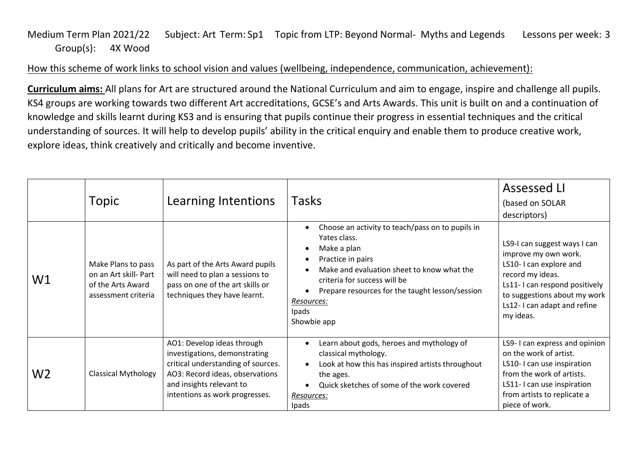## Medium Term Plan 2021/22 Subject: Art Term: Sp1 Topic from LTP: Beyond Normal- Myths and Legends Lessons per week: 3 Group(s): 4X Wood

## How this scheme of work links to school vision and values (wellbeing, independence, communication, achievement):

**Curriculum aims:** All plans for Art are structured around the National Curriculum and aim to engage, inspire and challenge all pupils. KS4 groups are working towards two different Art accreditations, GCSE's and Arts Awards. This unit is built on and a continuation of knowledge and skills learnt during KS3 and is ensuring that pupils continue their progress in essential techniques and the critical understanding of sources. It will help to develop pupils' ability in the critical enquiry and enable them to produce creative work, explore ideas, think creatively and critically and become inventive.

|                | Topic                                                                                   | Learning Intentions                                                                                                                                                                                | <b>Tasks</b>                                                                                                                                                                                                                                                                | <b>Assessed LI</b><br>(based on SOLAR<br>descriptors)                                                                                                                                                           |
|----------------|-----------------------------------------------------------------------------------------|----------------------------------------------------------------------------------------------------------------------------------------------------------------------------------------------------|-----------------------------------------------------------------------------------------------------------------------------------------------------------------------------------------------------------------------------------------------------------------------------|-----------------------------------------------------------------------------------------------------------------------------------------------------------------------------------------------------------------|
| W <sub>1</sub> | Make Plans to pass<br>on an Art skill- Part<br>of the Arts Award<br>assessment criteria | As part of the Arts Award pupils<br>will need to plan a sessions to<br>pass on one of the art skills or<br>techniques they have learnt.                                                            | Choose an activity to teach/pass on to pupils in<br>Yates class.<br>Make a plan<br>Practice in pairs<br>Make and evaluation sheet to know what the<br>criteria for success will be<br>Prepare resources for the taught lesson/session<br>Resources:<br>Ipads<br>Showbie app | LS9-I can suggest ways I can<br>improve my own work.<br>LS10-I can explore and<br>record my ideas.<br>Ls11-I can respond positively<br>to suggestions about my work<br>Ls12-I can adapt and refine<br>my ideas. |
| W <sub>2</sub> | <b>Classical Mythology</b>                                                              | AO1: Develop ideas through<br>investigations, demonstrating<br>critical understanding of sources.<br>AO3: Record ideas, observations<br>and insights relevant to<br>intentions as work progresses. | Learn about gods, heroes and mythology of<br>classical mythology.<br>Look at how this has inspired artists throughout<br>the ages.<br>Quick sketches of some of the work covered<br>Resources:<br>Ipads                                                                     | LS9-I can express and opinion<br>on the work of artist.<br>LS10-I can use inspiration<br>from the work of artists.<br>LS11-I can use inspiration<br>from artists to replicate a<br>piece of work.               |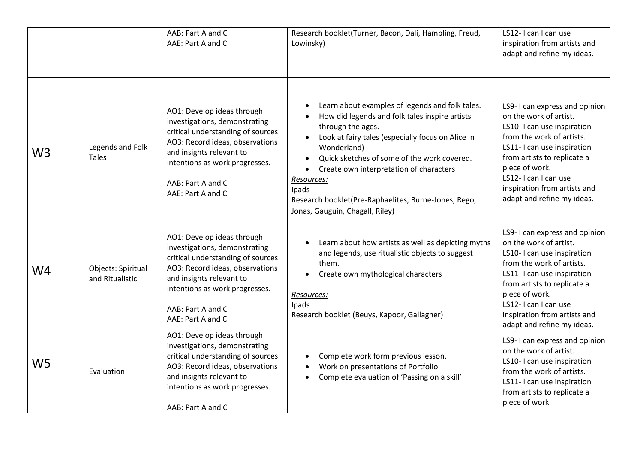|                |                                       | AAB: Part A and C<br>AAE: Part A and C                                                                                                                                                                                                       | Research booklet(Turner, Bacon, Dali, Hambling, Freud,<br>Lowinsky)                                                                                                                                                                                                                                                                                                                                                 | LS12-I can I can use<br>inspiration from artists and<br>adapt and refine my ideas.                                                                                                                                                                                                       |
|----------------|---------------------------------------|----------------------------------------------------------------------------------------------------------------------------------------------------------------------------------------------------------------------------------------------|---------------------------------------------------------------------------------------------------------------------------------------------------------------------------------------------------------------------------------------------------------------------------------------------------------------------------------------------------------------------------------------------------------------------|------------------------------------------------------------------------------------------------------------------------------------------------------------------------------------------------------------------------------------------------------------------------------------------|
| W <sub>3</sub> | Legends and Folk<br><b>Tales</b>      | AO1: Develop ideas through<br>investigations, demonstrating<br>critical understanding of sources.<br>AO3: Record ideas, observations<br>and insights relevant to<br>intentions as work progresses.<br>AAB: Part A and C<br>AAE: Part A and C | Learn about examples of legends and folk tales.<br>How did legends and folk tales inspire artists<br>through the ages.<br>Look at fairy tales (especially focus on Alice in<br>Wonderland)<br>Quick sketches of some of the work covered.<br>Create own interpretation of characters<br>$\bullet$<br>Resources:<br>Ipads<br>Research booklet(Pre-Raphaelites, Burne-Jones, Rego,<br>Jonas, Gauguin, Chagall, Riley) | LS9-I can express and opinion<br>on the work of artist.<br>LS10-I can use inspiration<br>from the work of artists.<br>LS11- I can use inspiration<br>from artists to replicate a<br>piece of work.<br>LS12-I can I can use<br>inspiration from artists and<br>adapt and refine my ideas. |
| W4             | Objects: Spiritual<br>and Ritualistic | AO1: Develop ideas through<br>investigations, demonstrating<br>critical understanding of sources.<br>AO3: Record ideas, observations<br>and insights relevant to<br>intentions as work progresses.<br>AAB: Part A and C<br>AAE: Part A and C | Learn about how artists as well as depicting myths<br>and legends, use ritualistic objects to suggest<br>them.<br>Create own mythological characters<br>Resources:<br>Ipads<br>Research booklet (Beuys, Kapoor, Gallagher)                                                                                                                                                                                          | LS9-I can express and opinion<br>on the work of artist.<br>LS10-I can use inspiration<br>from the work of artists.<br>LS11- I can use inspiration<br>from artists to replicate a<br>piece of work.<br>LS12-I can I can use<br>inspiration from artists and<br>adapt and refine my ideas. |
| W <sub>5</sub> | Evaluation                            | AO1: Develop ideas through<br>investigations, demonstrating<br>critical understanding of sources.<br>AO3: Record ideas, observations<br>and insights relevant to<br>intentions as work progresses.<br>AAB: Part A and C                      | Complete work form previous lesson.<br>Work on presentations of Portfolio<br>Complete evaluation of 'Passing on a skill'                                                                                                                                                                                                                                                                                            | LS9-I can express and opinion<br>on the work of artist.<br>LS10-I can use inspiration<br>from the work of artists.<br>LS11-I can use inspiration<br>from artists to replicate a<br>piece of work.                                                                                        |